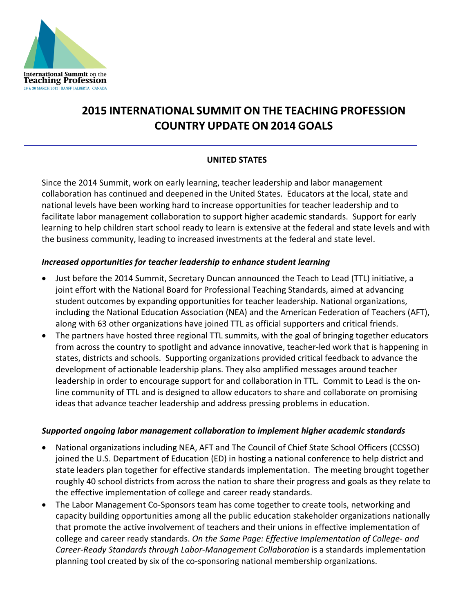

# **2015 INTERNATIONAL SUMMIT ON THE TEACHING PROFESSION COUNTRY UPDATE ON 2014 GOALS**

## **UNITED STATES**

Since the 2014 Summit, work on early learning, teacher leadership and labor management collaboration has continued and deepened in the United States. Educators at the local, state and national levels have been working hard to increase opportunities for teacher leadership and to facilitate labor management collaboration to support higher academic standards. Support for early learning to help children start school ready to learn is extensive at the federal and state levels and with the business community, leading to increased investments at the federal and state level.

#### *Increased opportunities for teacher leadership to enhance student learning*

- Just before the 2014 Summit, Secretary Duncan announced the Teach to Lead (TTL) initiative, a joint effort with the National Board for Professional Teaching Standards, aimed at advancing student outcomes by expanding opportunities for teacher leadership. National organizations, including the National Education Association (NEA) and the American Federation of Teachers (AFT), along with 63 other organizations have joined TTL as official supporters and critical friends.
- The partners have hosted three regional TTL summits, with the goal of bringing together educators from across the country to spotlight and advance innovative, teacher-led work that is happening in states, districts and schools. Supporting organizations provided critical feedback to advance the development of actionable leadership plans. They also amplified messages around teacher leadership in order to encourage support for and collaboration in TTL. Commit to Lead is the online community of TTL and is designed to allow educators to share and collaborate on promising ideas that advance teacher leadership and address pressing problems in education.

#### *Supported ongoing labor management collaboration to implement higher academic standards*

- National organizations including NEA, AFT and The Council of Chief State School Officers (CCSSO) joined the U.S. Department of Education (ED) in hosting a national conference to help district and state leaders plan together for effective standards implementation. The meeting brought together roughly 40 school districts from across the nation to share their progress and goals as they relate to the effective implementation of college and career ready standards.
- The Labor Management Co-Sponsors team has come together to create tools, networking and capacity building opportunities among all the public education stakeholder organizations nationally that promote the active involvement of teachers and their unions in effective implementation of college and career ready standards. *On the Same Page: Effective Implementation of College- and Career-Ready Standards through Labor-Management Collaboration* is a standards implementation planning tool created by six of the co-sponsoring national membership organizations.